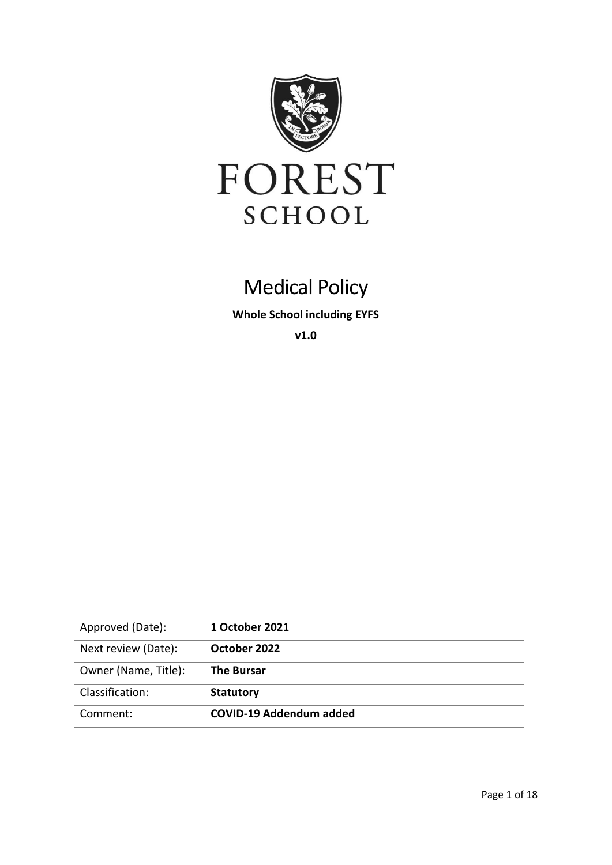

# Medical Policy

**Whole School including EYFS**

**v1.0**

| Approved (Date):     | 1 October 2021          |
|----------------------|-------------------------|
| Next review (Date):  | October 2022            |
| Owner (Name, Title): | <b>The Bursar</b>       |
| Classification:      | <b>Statutory</b>        |
| Comment:             | COVID-19 Addendum added |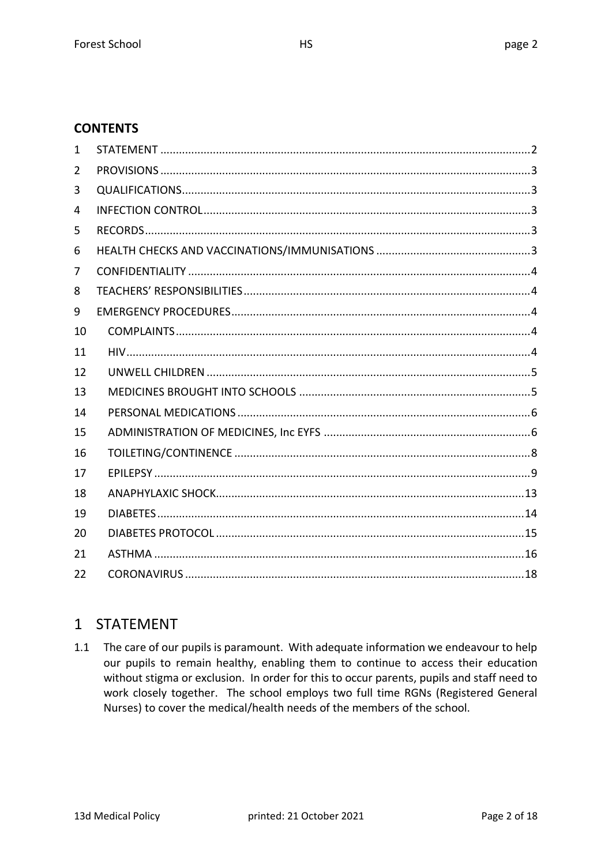# **CONTENTS**

| 1  |  |
|----|--|
| 2  |  |
| 3  |  |
| 4  |  |
| 5  |  |
| 6  |  |
| 7  |  |
| 8  |  |
| 9  |  |
| 10 |  |
| 11 |  |
| 12 |  |
| 13 |  |
| 14 |  |
| 15 |  |
| 16 |  |
| 17 |  |
| 18 |  |
| 19 |  |
| 20 |  |
| 21 |  |
| 22 |  |

# 1 STATEMENT

1.1 The care of our pupils is paramount. With adequate information we endeavour to help our pupils to remain healthy, enabling them to continue to access their education without stigma or exclusion. In order for this to occur parents, pupils and staff need to work closely together. The school employs two full time RGNs (Registered General Nurses) to cover the medical/health needs of the members of the school.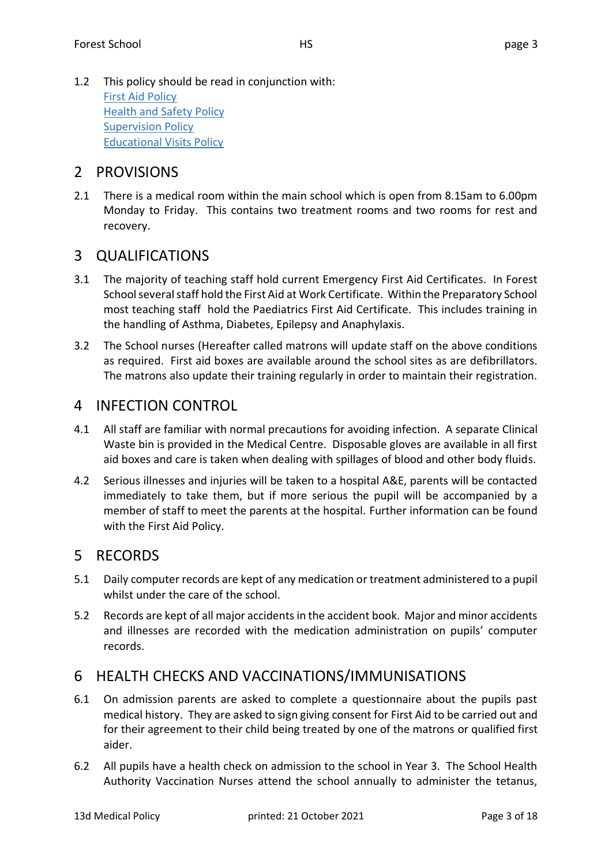1.2 This policy should be read in conjunction with: [First Aid Policy](http://webserver.forest.org.uk/resource.aspx?id=378742) [Health and Safety Policy](http://webserver.forest.org.uk/resource.aspx?id=378884) **[Supervision Policy](http://webserver.forest.org.uk/resource.aspx?id=378750)** [Educational Visits Policy](http://webserver.forest.org.uk/resource.aspx?id=314663)

# 2 PROVISIONS

2.1 There is a medical room within the main school which is open from 8.15am to 6.00pm Monday to Friday. This contains two treatment rooms and two rooms for rest and recovery.

# 3 QUALIFICATIONS

- 3.1 The majority of teaching staff hold current Emergency First Aid Certificates. In Forest School several staff hold the First Aid at Work Certificate. Within the Preparatory School most teaching staff hold the Paediatrics First Aid Certificate. This includes training in the handling of Asthma, Diabetes, Epilepsy and Anaphylaxis.
- 3.2 The School nurses (Hereafter called matrons will update staff on the above conditions as required. First aid boxes are available around the school sites as are defibrillators. The matrons also update their training regularly in order to maintain their registration.

# 4 INFECTION CONTROL

- 4.1 All staff are familiar with normal precautions for avoiding infection. A separate Clinical Waste bin is provided in the Medical Centre. Disposable gloves are available in all first aid boxes and care is taken when dealing with spillages of blood and other body fluids.
- 4.2 Serious illnesses and injuries will be taken to a hospital A&E, parents will be contacted immediately to take them, but if more serious the pupil will be accompanied by a member of staff to meet the parents at the hospital. Further information can be found with the First Aid Policy.

# 5 RECORDS

- 5.1 Daily computer records are kept of any medication or treatment administered to a pupil whilst under the care of the school.
- 5.2 Records are kept of all major accidents in the accident book. Major and minor accidents and illnesses are recorded with the medication administration on pupils' computer records.

# 6 HEALTH CHECKS AND VACCINATIONS/IMMUNISATIONS

- 6.1 On admission parents are asked to complete a questionnaire about the pupils past medical history. They are asked to sign giving consent for First Aid to be carried out and for their agreement to their child being treated by one of the matrons or qualified first aider.
- 6.2 All pupils have a health check on admission to the school in Year 3. The School Health Authority Vaccination Nurses attend the school annually to administer the tetanus,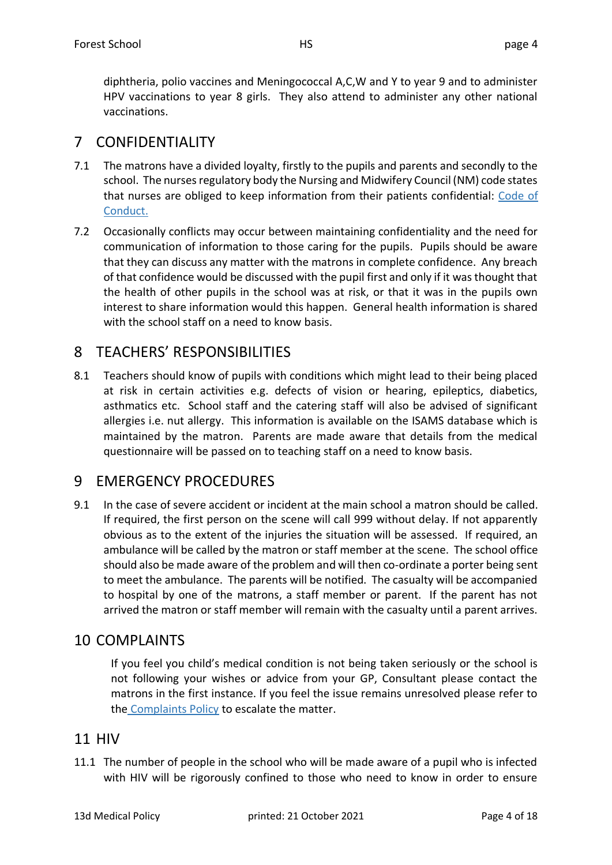diphtheria, polio vaccines and Meningococcal A,C,W and Y to year 9 and to administer HPV vaccinations to year 8 girls. They also attend to administer any other national vaccinations.

# 7 CONFIDENTIALITY

- 7.1 The matrons have a divided loyalty, firstly to the pupils and parents and secondly to the school. The nurses regulatory body the Nursing and Midwifery Council (NM) code states that nurses are obliged to keep information from their patients confidential: Code of [Conduct.](https://www.nmc.org.uk/standards/code/)
- 7.2 Occasionally conflicts may occur between maintaining confidentiality and the need for communication of information to those caring for the pupils. Pupils should be aware that they can discuss any matter with the matrons in complete confidence. Any breach of that confidence would be discussed with the pupil first and only if it was thought that the health of other pupils in the school was at risk, or that it was in the pupils own interest to share information would this happen. General health information is shared with the school staff on a need to know basis.

# 8 TEACHERS' RESPONSIBILITIES

8.1 Teachers should know of pupils with conditions which might lead to their being placed at risk in certain activities e.g. defects of vision or hearing, epileptics, diabetics, asthmatics etc. School staff and the catering staff will also be advised of significant allergies i.e. nut allergy. This information is available on the ISAMS database which is maintained by the matron. Parents are made aware that details from the medical questionnaire will be passed on to teaching staff on a need to know basis.

# 9 EMERGENCY PROCEDURES

9.1 In the case of severe accident or incident at the main school a matron should be called. If required, the first person on the scene will call 999 without delay. If not apparently obvious as to the extent of the injuries the situation will be assessed. If required, an ambulance will be called by the matron or staff member at the scene. The school office should also be made aware of the problem and will then co-ordinate a porter being sent to meet the ambulance. The parents will be notified. The casualty will be accompanied to hospital by one of the matrons, a staff member or parent. If the parent has not arrived the matron or staff member will remain with the casualty until a parent arrives.

# 10 COMPLAINTS

If you feel you child's medical condition is not being taken seriously or the school is not following your wishes or advice from your GP, Consultant please contact the matrons in the first instance. If you feel the issue remains unresolved please refer to the [Complaints Policy](http://webserver.forest.org.uk/resource.aspx?id=418541) to escalate the matter.

# 11 HIV

11.1 The number of people in the school who will be made aware of a pupil who is infected with HIV will be rigorously confined to those who need to know in order to ensure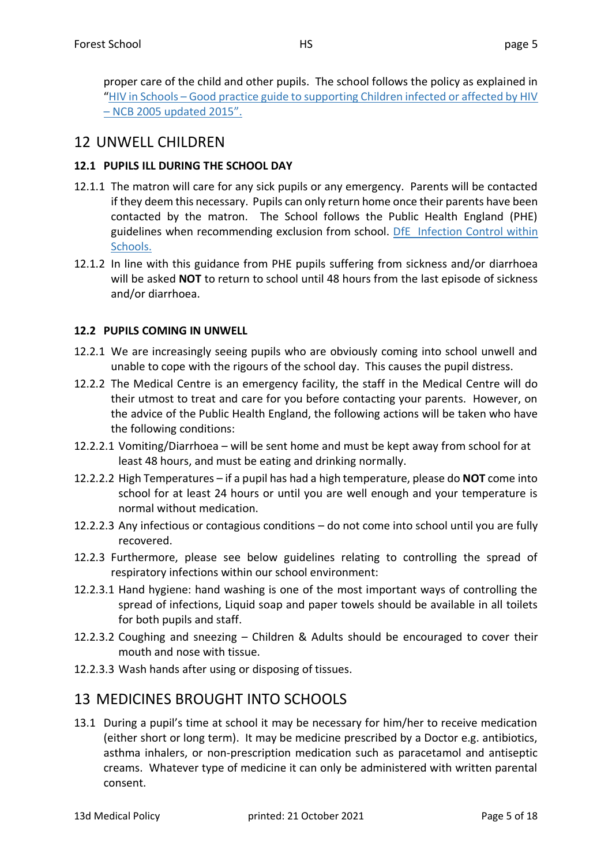proper care of the child and other pupils. The school follows the policy as explained in "HIV in Schools – [Good practice guide to supporting Children infected or affected by HIV](https://www.nat.org.uk/sites/default/files/teachers-resources/HIV_in_Schools.pdf)  – [NCB 2005 updated 2015".](https://www.nat.org.uk/sites/default/files/teachers-resources/HIV_in_Schools.pdf)

# 12 UNWELL CHILDREN

### **12.1 PUPILS ILL DURING THE SCHOOL DAY**

- 12.1.1 The matron will care for any sick pupils or any emergency. Parents will be contacted if they deem this necessary. Pupils can only return home once their parents have been contacted by the matron. The School follows the Public Health England (PHE) guidelines when recommending exclusion from school. [DfE Infection Control within](https://www.gov.uk/government/publications/health-protection-in-schools-and-other-childcare-facilities)  [Schools.](https://www.gov.uk/government/publications/health-protection-in-schools-and-other-childcare-facilities)
- 12.1.2 In line with this guidance from PHE pupils suffering from sickness and/or diarrhoea will be asked **NOT** to return to school until 48 hours from the last episode of sickness and/or diarrhoea.

### **12.2 PUPILS COMING IN UNWELL**

- 12.2.1 We are increasingly seeing pupils who are obviously coming into school unwell and unable to cope with the rigours of the school day. This causes the pupil distress.
- 12.2.2 The Medical Centre is an emergency facility, the staff in the Medical Centre will do their utmost to treat and care for you before contacting your parents. However, on the advice of the Public Health England, the following actions will be taken who have the following conditions:
- 12.2.2.1 Vomiting/Diarrhoea will be sent home and must be kept away from school for at least 48 hours, and must be eating and drinking normally.
- 12.2.2.2 High Temperatures if a pupil has had a high temperature, please do **NOT** come into school for at least 24 hours or until you are well enough and your temperature is normal without medication.
- 12.2.2.3 Any infectious or contagious conditions do not come into school until you are fully recovered.
- 12.2.3 Furthermore, please see below guidelines relating to controlling the spread of respiratory infections within our school environment:
- 12.2.3.1 Hand hygiene: hand washing is one of the most important ways of controlling the spread of infections, Liquid soap and paper towels should be available in all toilets for both pupils and staff.
- 12.2.3.2 Coughing and sneezing Children & Adults should be encouraged to cover their mouth and nose with tissue.
- 12.2.3.3 Wash hands after using or disposing of tissues.

# 13 MEDICINES BROUGHT INTO SCHOOLS

13.1 During a pupil's time at school it may be necessary for him/her to receive medication (either short or long term). It may be medicine prescribed by a Doctor e.g. antibiotics, asthma inhalers, or non-prescription medication such as paracetamol and antiseptic creams. Whatever type of medicine it can only be administered with written parental consent.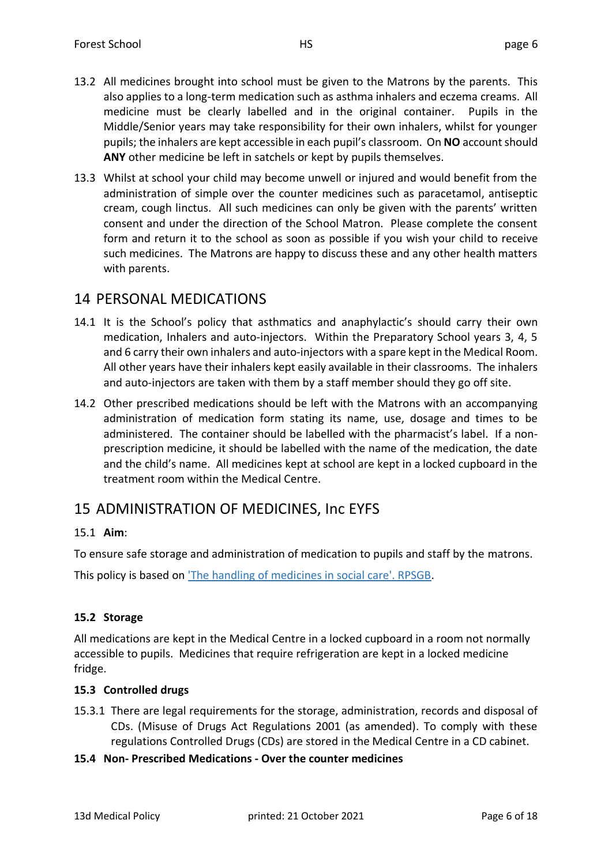- 13.2 All medicines brought into school must be given to the Matrons by the parents. This also applies to a long-term medication such as asthma inhalers and eczema creams. All medicine must be clearly labelled and in the original container. Pupils in the Middle/Senior years may take responsibility for their own inhalers, whilst for younger pupils; the inhalers are kept accessible in each pupil's classroom. On **NO** account should **ANY** other medicine be left in satchels or kept by pupils themselves.
- 13.3 Whilst at school your child may become unwell or injured and would benefit from the administration of simple over the counter medicines such as paracetamol, antiseptic cream, cough linctus. All such medicines can only be given with the parents' written consent and under the direction of the School Matron. Please complete the consent form and return it to the school as soon as possible if you wish your child to receive such medicines. The Matrons are happy to discuss these and any other health matters with parents.

# 14 PERSONAL MEDICATIONS

- 14.1 It is the School's policy that asthmatics and anaphylactic's should carry their own medication, Inhalers and auto-injectors. Within the Preparatory School years 3, 4, 5 and 6 carry their own inhalers and auto-injectors with a spare kept in the Medical Room. All other years have their inhalers kept easily available in their classrooms. The inhalers and auto-injectors are taken with them by a staff member should they go off site.
- 14.2 Other prescribed medications should be left with the Matrons with an accompanying administration of medication form stating its name, use, dosage and times to be administered. The container should be labelled with the pharmacist's label. If a nonprescription medicine, it should be labelled with the name of the medication, the date and the child's name. All medicines kept at school are kept in a locked cupboard in the treatment room within the Medical Centre.

# 15 ADMINISTRATION OF MEDICINES, Inc EYFS

### 15.1 **Aim**:

To ensure safe storage and administration of medication to pupils and staff by the matrons.

This policy is based on ['The handling of medicines in social care'. RPSGB.](https://www.rpharms.com/recognition/setting-professional-standards/safe-and-secure-handling-of-medicines/professional-guidance-on-the-safe-and-secure-handling-of-medicines)

### **15.2 Storage**

All medications are kept in the Medical Centre in a locked cupboard in a room not normally accessible to pupils. Medicines that require refrigeration are kept in a locked medicine fridge.

### **15.3 Controlled drugs**

- 15.3.1 There are legal requirements for the storage, administration, records and disposal of CDs. (Misuse of Drugs Act Regulations 2001 (as amended). To comply with these regulations Controlled Drugs (CDs) are stored in the Medical Centre in a CD cabinet.
- **15.4 Non- Prescribed Medications - Over the counter medicines**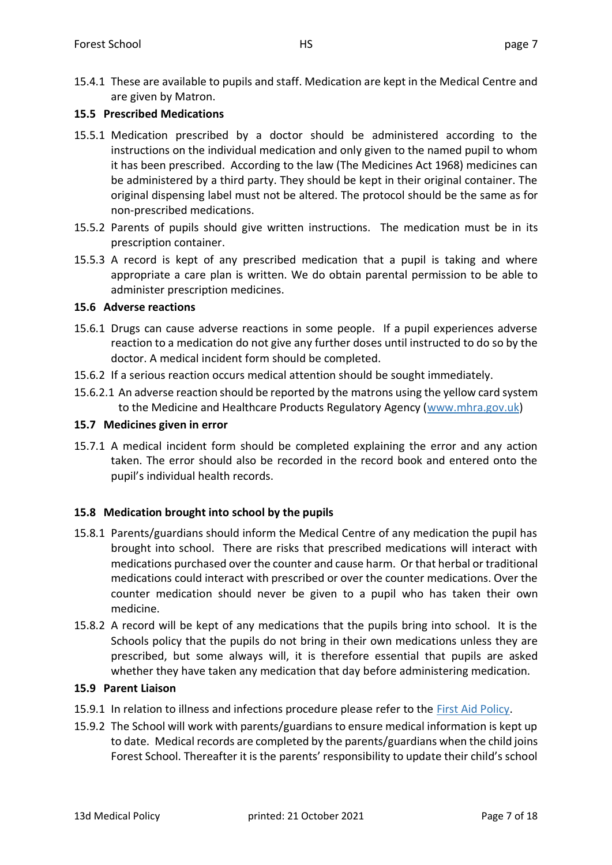#### **15.5 Prescribed Medications**

- 15.5.1 Medication prescribed by a doctor should be administered according to the instructions on the individual medication and only given to the named pupil to whom it has been prescribed. According to the law (The Medicines Act 1968) medicines can be administered by a third party. They should be kept in their original container. The original dispensing label must not be altered. The protocol should be the same as for non-prescribed medications.
- 15.5.2 Parents of pupils should give written instructions. The medication must be in its prescription container.
- 15.5.3 A record is kept of any prescribed medication that a pupil is taking and where appropriate a care plan is written. We do obtain parental permission to be able to administer prescription medicines.

### **15.6 Adverse reactions**

- 15.6.1 Drugs can cause adverse reactions in some people. If a pupil experiences adverse reaction to a medication do not give any further doses until instructed to do so by the doctor. A medical incident form should be completed.
- 15.6.2 If a serious reaction occurs medical attention should be sought immediately.
- 15.6.2.1 An adverse reaction should be reported by the matrons using the yellow card system to the Medicine and Healthcare Products Regulatory Agency [\(www.mhra.gov.uk\)](www.mhra.gov.uk)

#### **15.7 Medicines given in error**

15.7.1 A medical incident form should be completed explaining the error and any action taken. The error should also be recorded in the record book and entered onto the pupil's individual health records.

#### **15.8 Medication brought into school by the pupils**

- 15.8.1 Parents/guardians should inform the Medical Centre of any medication the pupil has brought into school. There are risks that prescribed medications will interact with medications purchased over the counter and cause harm. Or that herbal or traditional medications could interact with prescribed or over the counter medications. Over the counter medication should never be given to a pupil who has taken their own medicine.
- 15.8.2 A record will be kept of any medications that the pupils bring into school. It is the Schools policy that the pupils do not bring in their own medications unless they are prescribed, but some always will, it is therefore essential that pupils are asked whether they have taken any medication that day before administering medication.

#### **15.9 Parent Liaison**

- 15.9.1 In relation to illness and infections procedure please refer to the [First Aid Policy.](https://webserver.forest.org.uk/Resources/Staff%20%5BF2%5D/Staff%20Handbook%20%5BFz%5D/Section%20D%20Forest%20School%20Policies%20and%20Procedures%20%5BFje2%5D/School%20Policies%20Internal%20%5BF197d%5D/13a%20First%20Aid%20Policy.pdf)
- 15.9.2 The School will work with parents/guardians to ensure medical information is kept up to date. Medical records are completed by the parents/guardians when the child joins Forest School. Thereafter it is the parents' responsibility to update their child's school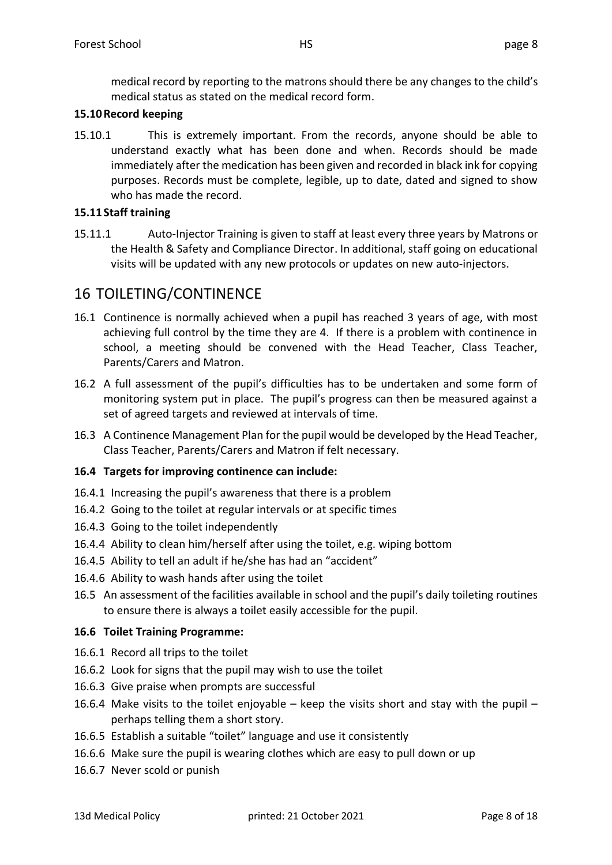medical record by reporting to the matrons should there be any changes to the child's medical status as stated on the medical record form.

### **15.10Record keeping**

15.10.1 This is extremely important. From the records, anyone should be able to understand exactly what has been done and when. Records should be made immediately after the medication has been given and recorded in black ink for copying purposes. Records must be complete, legible, up to date, dated and signed to show who has made the record.

### **15.11Staff training**

15.11.1 Auto-Injector Training is given to staff at least every three years by Matrons or the Health & Safety and Compliance Director. In additional, staff going on educational visits will be updated with any new protocols or updates on new auto-injectors.

# 16 TOILETING/CONTINENCE

- 16.1 Continence is normally achieved when a pupil has reached 3 years of age, with most achieving full control by the time they are 4. If there is a problem with continence in school, a meeting should be convened with the Head Teacher, Class Teacher, Parents/Carers and Matron.
- 16.2 A full assessment of the pupil's difficulties has to be undertaken and some form of monitoring system put in place. The pupil's progress can then be measured against a set of agreed targets and reviewed at intervals of time.
- 16.3 A Continence Management Plan for the pupil would be developed by the Head Teacher, Class Teacher, Parents/Carers and Matron if felt necessary.

### **16.4 Targets for improving continence can include:**

- 16.4.1 Increasing the pupil's awareness that there is a problem
- 16.4.2 Going to the toilet at regular intervals or at specific times
- 16.4.3 Going to the toilet independently
- 16.4.4 Ability to clean him/herself after using the toilet, e.g. wiping bottom
- 16.4.5 Ability to tell an adult if he/she has had an "accident"
- 16.4.6 Ability to wash hands after using the toilet
- 16.5 An assessment of the facilities available in school and the pupil's daily toileting routines to ensure there is always a toilet easily accessible for the pupil.

#### **16.6 Toilet Training Programme:**

- 16.6.1 Record all trips to the toilet
- 16.6.2 Look for signs that the pupil may wish to use the toilet
- 16.6.3 Give praise when prompts are successful
- 16.6.4 Make visits to the toilet enjoyable keep the visits short and stay with the pupil perhaps telling them a short story.
- 16.6.5 Establish a suitable "toilet" language and use it consistently
- 16.6.6 Make sure the pupil is wearing clothes which are easy to pull down or up
- 16.6.7 Never scold or punish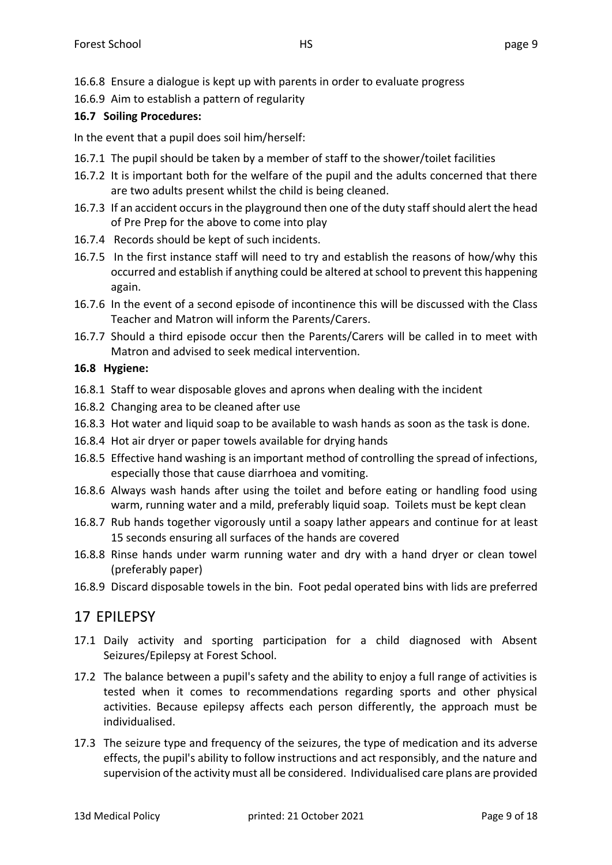16.6.8 Ensure a dialogue is kept up with parents in order to evaluate progress

16.6.9 Aim to establish a pattern of regularity

### **16.7 Soiling Procedures:**

In the event that a pupil does soil him/herself:

- 16.7.1 The pupil should be taken by a member of staff to the shower/toilet facilities
- 16.7.2 It is important both for the welfare of the pupil and the adults concerned that there are two adults present whilst the child is being cleaned.
- 16.7.3 If an accident occurs in the playground then one of the duty staff should alert the head of Pre Prep for the above to come into play
- 16.7.4 Records should be kept of such incidents.
- 16.7.5 In the first instance staff will need to try and establish the reasons of how/why this occurred and establish if anything could be altered at school to prevent this happening again.
- 16.7.6 In the event of a second episode of incontinence this will be discussed with the Class Teacher and Matron will inform the Parents/Carers.
- 16.7.7 Should a third episode occur then the Parents/Carers will be called in to meet with Matron and advised to seek medical intervention.

#### **16.8 Hygiene:**

- 16.8.1 Staff to wear disposable gloves and aprons when dealing with the incident
- 16.8.2 Changing area to be cleaned after use
- 16.8.3 Hot water and liquid soap to be available to wash hands as soon as the task is done.
- 16.8.4 Hot air dryer or paper towels available for drying hands
- 16.8.5 Effective hand washing is an important method of controlling the spread of infections, especially those that cause diarrhoea and vomiting.
- 16.8.6 Always wash hands after using the toilet and before eating or handling food using warm, running water and a mild, preferably liquid soap. Toilets must be kept clean
- 16.8.7 Rub hands together vigorously until a soapy lather appears and continue for at least 15 seconds ensuring all surfaces of the hands are covered
- 16.8.8 Rinse hands under warm running water and dry with a hand dryer or clean towel (preferably paper)
- 16.8.9 Discard disposable towels in the bin. Foot pedal operated bins with lids are preferred

# 17 EPILEPSY

- 17.1 Daily activity and sporting participation for a child diagnosed with Absent Seizures/Epilepsy at Forest School.
- 17.2 The balance between a pupil's safety and the ability to enjoy a full range of activities is tested when it comes to recommendations regarding sports and other physical activities. Because epilepsy affects each person differently, the approach must be individualised.
- 17.3 The seizure type and frequency of the seizures, the type of medication and its adverse effects, the pupil's ability to follow instructions and act responsibly, and the nature and supervision of the activity must all be considered. Individualised care plans are provided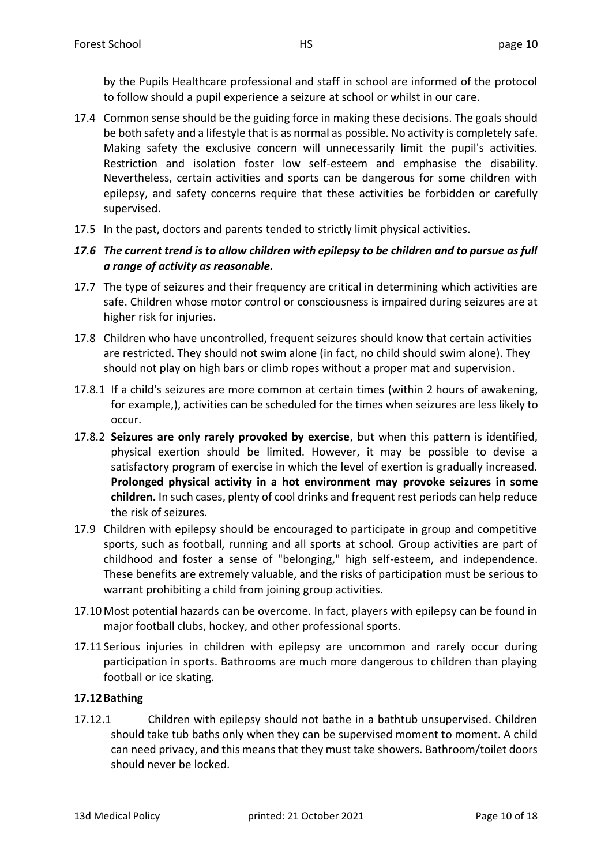by the Pupils Healthcare professional and staff in school are informed of the protocol to follow should a pupil experience a seizure at school or whilst in our care.

- 17.4 Common sense should be the guiding force in making these decisions. The goals should be both safety and a lifestyle that is as normal as possible. No activity is completely safe. Making safety the exclusive concern will unnecessarily limit the pupil's activities. Restriction and isolation foster low self-esteem and emphasise the disability. Nevertheless, certain activities and sports can be dangerous for some children with epilepsy, and safety concerns require that these activities be forbidden or carefully supervised.
- 17.5 In the past, doctors and parents tended to strictly limit physical activities.

### *17.6 The current trend is to allow children with epilepsy to be children and to pursue as full a range of activity as reasonable.*

- 17.7 The type of seizures and their frequency are critical in determining which activities are safe. Children whose motor control or consciousness is impaired during seizures are at higher risk for injuries.
- 17.8 Children who have uncontrolled, frequent seizures should know that certain activities are restricted. They should not swim alone (in fact, no child should swim alone). They should not play on high bars or climb ropes without a proper mat and supervision.
- 17.8.1 If a child's seizures are more common at certain times (within 2 hours of awakening, for example,), activities can be scheduled for the times when seizures are less likely to occur.
- 17.8.2 **Seizures are only rarely provoked by exercise**, but when this pattern is identified, physical exertion should be limited. However, it may be possible to devise a satisfactory program of exercise in which the level of exertion is gradually increased. **Prolonged physical activity in a hot environment may provoke seizures in some children.** In such cases, plenty of cool drinks and frequent rest periods can help reduce the risk of seizures.
- 17.9 Children with epilepsy should be encouraged to participate in group and competitive sports, such as football, running and all sports at school. Group activities are part of childhood and foster a sense of "belonging," high self-esteem, and independence. These benefits are extremely valuable, and the risks of participation must be serious to warrant prohibiting a child from joining group activities.
- 17.10Most potential hazards can be overcome. In fact, players with epilepsy can be found in major football clubs, hockey, and other professional sports.
- 17.11 Serious injuries in children with epilepsy are uncommon and rarely occur during participation in sports. Bathrooms are much more dangerous to children than playing football or ice skating.

### **17.12Bathing**

17.12.1 Children with epilepsy should not bathe in a bathtub unsupervised. Children should take tub baths only when they can be supervised moment to moment. A child can need privacy, and this means that they must take showers. Bathroom/toilet doors should never be locked.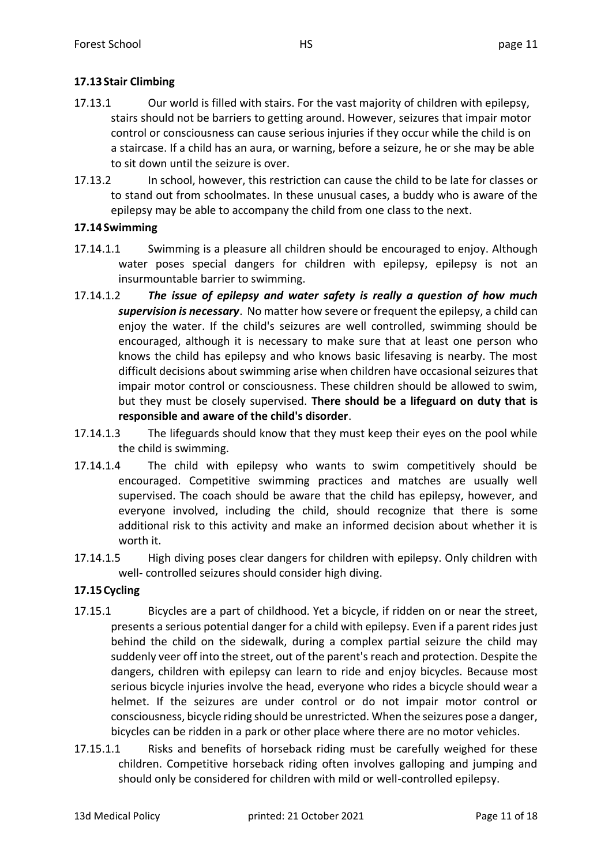### **17.13Stair Climbing**

- 17.13.1 Our world is filled with stairs. For the vast majority of children with epilepsy, stairs should not be barriers to getting around. However, seizures that impair motor control or consciousness can cause serious injuries if they occur while the child is on a staircase. If a child has an aura, or warning, before a seizure, he or she may be able to sit down until the seizure is over.
- 17.13.2 In school, however, this restriction can cause the child to be late for classes or to stand out from schoolmates. In these unusual cases, a buddy who is aware of the epilepsy may be able to accompany the child from one class to the next.

### **17.14Swimming**

- 17.14.1.1 Swimming is a pleasure all children should be encouraged to enjoy. Although water poses special dangers for children with epilepsy, epilepsy is not an insurmountable barrier to swimming.
- 17.14.1.2 *The issue of epilepsy and water safety is really a question of how much supervision is necessary*. No matter how severe or frequent the epilepsy, a child can enjoy the water. If the child's seizures are well controlled, swimming should be encouraged, although it is necessary to make sure that at least one person who knows the child has epilepsy and who knows basic lifesaving is nearby. The most difficult decisions about swimming arise when children have occasional seizures that impair motor control or consciousness. These children should be allowed to swim, but they must be closely supervised. **There should be a lifeguard on duty that is responsible and aware of the child's disorder**.
- 17.14.1.3 The lifeguards should know that they must keep their eyes on the pool while the child is swimming.
- 17.14.1.4 The child with epilepsy who wants to swim competitively should be encouraged. Competitive swimming practices and matches are usually well supervised. The coach should be aware that the child has epilepsy, however, and everyone involved, including the child, should recognize that there is some additional risk to this activity and make an informed decision about whether it is worth it.
- 17.14.1.5 High diving poses clear dangers for children with epilepsy. Only children with well- controlled seizures should consider high diving.

### **17.15Cycling**

- 17.15.1 Bicycles are a part of childhood. Yet a bicycle, if ridden on or near the street, presents a serious potential danger for a child with epilepsy. Even if a parent rides just behind the child on the sidewalk, during a complex partial seizure the child may suddenly veer off into the street, out of the parent's reach and protection. Despite the dangers, children with epilepsy can learn to ride and enjoy bicycles. Because most serious bicycle injuries involve the head, everyone who rides a bicycle should wear a helmet. If the seizures are under control or do not impair motor control or consciousness, bicycle riding should be unrestricted. When the seizures pose a danger, bicycles can be ridden in a park or other place where there are no motor vehicles.
- 17.15.1.1 Risks and benefits of horseback riding must be carefully weighed for these children. Competitive horseback riding often involves galloping and jumping and should only be considered for children with mild or well-controlled epilepsy.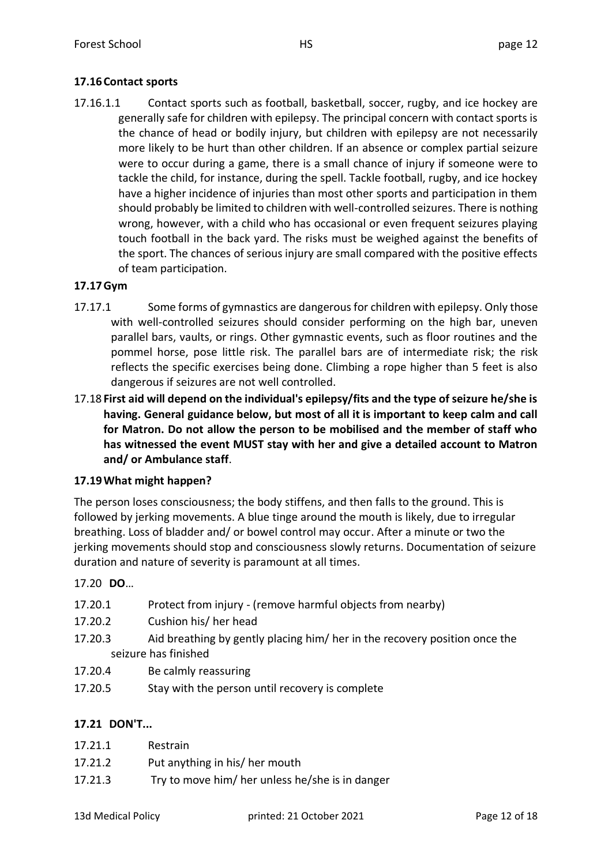### **17.16Contact sports**

17.16.1.1 Contact sports such as football, basketball, soccer, rugby, and ice hockey are generally safe for children with epilepsy. The principal concern with contact sports is the chance of head or bodily injury, but children with epilepsy are not necessarily more likely to be hurt than other children. If an absence or complex partial seizure were to occur during a game, there is a small chance of injury if someone were to tackle the child, for instance, during the spell. Tackle football, rugby, and ice hockey have a higher incidence of injuries than most other sports and participation in them should probably be limited to children with well-controlled seizures. There is nothing wrong, however, with a child who has occasional or even frequent seizures playing touch football in the back yard. The risks must be weighed against the benefits of the sport. The chances of serious injury are small compared with the positive effects of team participation.

#### **17.17Gym**

- 17.17.1 Some forms of gymnastics are dangerous for children with epilepsy. Only those with well-controlled seizures should consider performing on the high bar, uneven parallel bars, vaults, or rings. Other gymnastic events, such as floor routines and the pommel horse, pose little risk. The parallel bars are of intermediate risk; the risk reflects the specific exercises being done. Climbing a rope higher than 5 feet is also dangerous if seizures are not well controlled.
- 17.18 **First aid will depend on the individual's epilepsy/fits and the type of seizure he/she is having. General guidance below, but most of all it is important to keep calm and call for Matron. Do not allow the person to be mobilised and the member of staff who has witnessed the event MUST stay with her and give a detailed account to Matron and/ or Ambulance staff**.

### **17.19What might happen?**

The person loses consciousness; the body stiffens, and then falls to the ground. This is followed by jerking movements. A blue tinge around the mouth is likely, due to irregular breathing. Loss of bladder and/ or bowel control may occur. After a minute or two the jerking movements should stop and consciousness slowly returns. Documentation of seizure duration and nature of severity is paramount at all times.

17.20 **DO**…

- 17.20.1 Protect from injury (remove harmful objects from nearby)
- 17.20.2 Cushion his/ her head
- 17.20.3 Aid breathing by gently placing him/ her in the recovery position once the seizure has finished
- 17.20.4 Be calmly reassuring
- 17.20.5 Stay with the person until recovery is complete

### **17.21 DON'T...**

- 17.21.1 Restrain
- 17.21.2 Put anything in his/ her mouth
- 17.21.3 Try to move him/ her unless he/she is in danger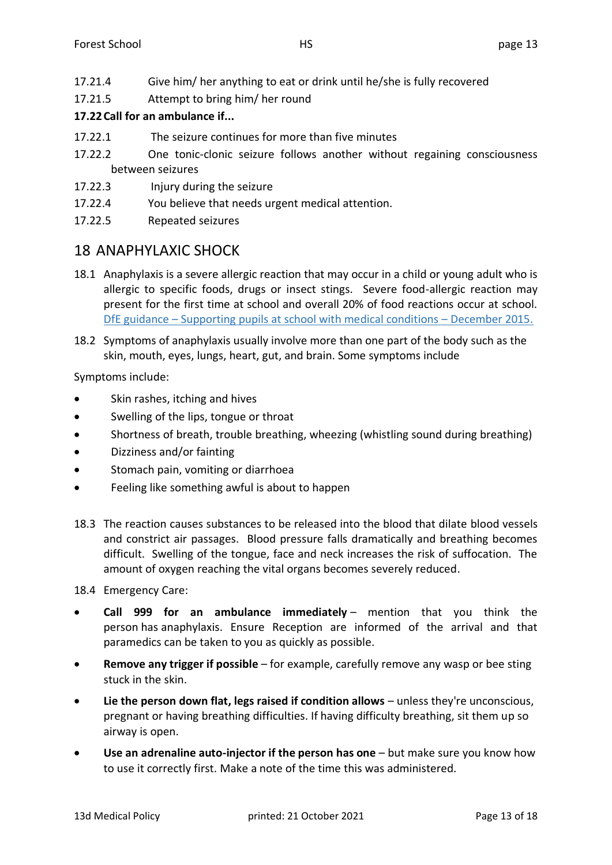- 17.21.4 Give him/ her anything to eat or drink until he/she is fully recovered
- 17.21.5 Attempt to bring him/ her round

### **17.22Call for an ambulance if...**

- 17.22.1 The seizure continues for more than five minutes
- 17.22.2 One tonic-clonic seizure follows another without regaining consciousness between seizures
- 17.22.3 Injury during the seizure
- 17.22.4 You believe that needs urgent medical attention.
- 17.22.5 Repeated seizures

# 18 ANAPHYLAXIC SHOCK

- 18.1 Anaphylaxis is a severe allergic reaction that may occur in a child or young adult who is allergic to specific foods, drugs or insect stings. Severe food-allergic reaction may present for the first time at school and overall 20% of food reactions occur at school. DfE guidance – [Supporting pupils at school with medical conditions](https://assets.publishing.service.gov.uk/government/uploads/system/uploads/attachment_data/file/803956/supporting-pupils-at-school-with-medical-conditions.pdf) – December 2015.
- 18.2 Symptoms of anaphylaxis usually involve more than one part of the body such as the skin, mouth, eyes, lungs, heart, gut, and brain. Some symptoms include

Symptoms include:

- Skin rashes, itching and hives
- Swelling of the lips, tongue or throat
- Shortness of breath, trouble breathing, wheezing (whistling sound during breathing)
- Dizziness and/or fainting
- Stomach pain, vomiting or diarrhoea
- Feeling like something awful is about to happen
- 18.3 The reaction causes substances to be released into the blood that dilate blood vessels and constrict air passages. Blood pressure falls dramatically and breathing becomes difficult. Swelling of the tongue, face and neck increases the risk of suffocation. The amount of oxygen reaching the vital organs becomes severely reduced.

18.4 Emergency Care:

- **Call 999 for an ambulance immediately** mention that you think the person has anaphylaxis. Ensure Reception are informed of the arrival and that paramedics can be taken to you as quickly as possible.
- **Remove any trigger if possible** for example, carefully remove any wasp or bee sting stuck in the skin.
- **Lie the person down flat, legs raised if condition allows** unless they're unconscious, pregnant or having breathing difficulties. If having difficulty breathing, sit them up so airway is open.
- **Use an adrenaline auto-injector if the person has one** but make sure you know how to use it correctly first. Make a note of the time this was administered.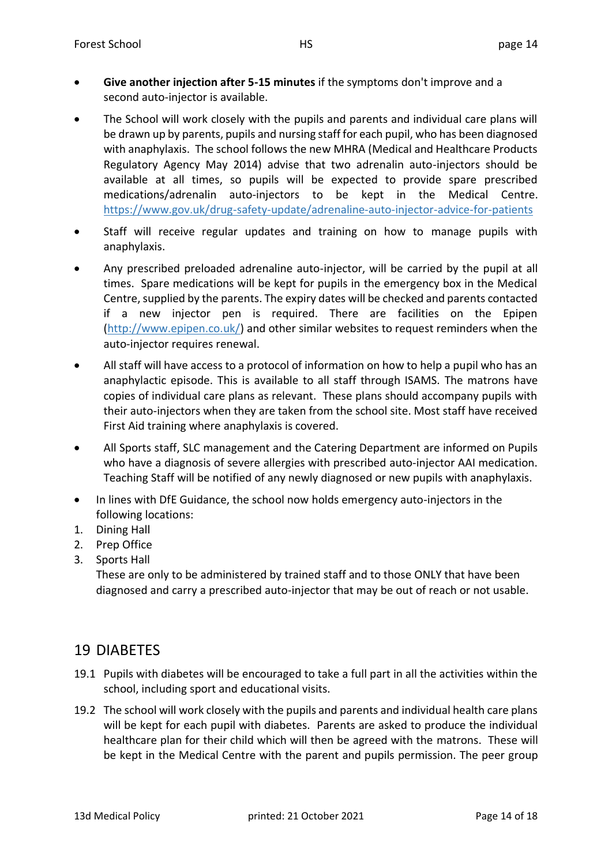- **Give another injection after 5-15 minutes** if the symptoms don't improve and a second auto-injector is available.
- The School will work closely with the pupils and parents and individual care plans will be drawn up by parents, pupils and nursing staff for each pupil, who has been diagnosed with anaphylaxis. The school follows the new MHRA (Medical and Healthcare Products Regulatory Agency May 2014) advise that two adrenalin auto-injectors should be available at all times, so pupils will be expected to provide spare prescribed medications/adrenalin auto-injectors to be kept in the Medical Centre. <https://www.gov.uk/drug-safety-update/adrenaline-auto-injector-advice-for-patients>
- Staff will receive regular updates and training on how to manage pupils with anaphylaxis.
- Any prescribed preloaded adrenaline auto-injector, will be carried by the pupil at all times. Spare medications will be kept for pupils in the emergency box in the Medical Centre, supplied by the parents. The expiry dates will be checked and parents contacted if a new injector pen is required. There are facilities on the Epipen [\(http://www.epipen.co.uk/\)](http://www.epipen.co.uk/) and other similar websites to request reminders when the auto-injector requires renewal.
- All staff will have access to a protocol of information on how to help a pupil who has an anaphylactic episode. This is available to all staff through ISAMS. The matrons have copies of individual care plans as relevant. These plans should accompany pupils with their auto-injectors when they are taken from the school site. Most staff have received First Aid training where anaphylaxis is covered.
- All Sports staff, SLC management and the Catering Department are informed on Pupils who have a diagnosis of severe allergies with prescribed auto-injector AAI medication. Teaching Staff will be notified of any newly diagnosed or new pupils with anaphylaxis.
- In lines with DfE Guidance, the school now holds emergency auto-injectors in the following locations:
- 1. Dining Hall
- 2. Prep Office
- 3. Sports Hall

These are only to be administered by trained staff and to those ONLY that have been diagnosed and carry a prescribed auto-injector that may be out of reach or not usable.

# 19 DIABETES

- 19.1 Pupils with diabetes will be encouraged to take a full part in all the activities within the school, including sport and educational visits.
- 19.2 The school will work closely with the pupils and parents and individual health care plans will be kept for each pupil with diabetes. Parents are asked to produce the individual healthcare plan for their child which will then be agreed with the matrons. These will be kept in the Medical Centre with the parent and pupils permission. The peer group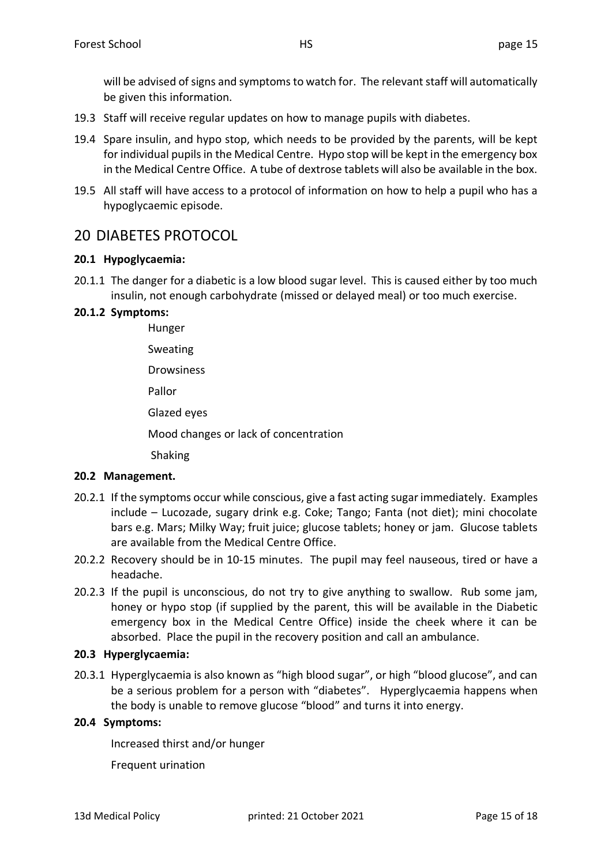will be advised of signs and symptoms to watch for. The relevant staff will automatically be given this information.

- 19.3 Staff will receive regular updates on how to manage pupils with diabetes.
- 19.4 Spare insulin, and hypo stop, which needs to be provided by the parents, will be kept for individual pupils in the Medical Centre. Hypo stop will be kept in the emergency box in the Medical Centre Office. A tube of dextrose tablets will also be available in the box.
- 19.5 All staff will have access to a protocol of information on how to help a pupil who has a hypoglycaemic episode.

# 20 DIABETES PROTOCOL

#### **20.1 Hypoglycaemia:**

20.1.1 The danger for a diabetic is a low blood sugar level. This is caused either by too much insulin, not enough carbohydrate (missed or delayed meal) or too much exercise.

#### **20.1.2 Symptoms:**

Hunger Sweating Drowsiness Pallor Glazed eyes Mood changes or lack of concentration

Shaking

#### **20.2 Management.**

- 20.2.1 If the symptoms occur while conscious, give a fast acting sugar immediately. Examples include – Lucozade, sugary drink e.g. Coke; Tango; Fanta (not diet); mini chocolate bars e.g. Mars; Milky Way; fruit juice; glucose tablets; honey or jam. Glucose tablets are available from the Medical Centre Office.
- 20.2.2 Recovery should be in 10-15 minutes. The pupil may feel nauseous, tired or have a headache.
- 20.2.3 If the pupil is unconscious, do not try to give anything to swallow. Rub some jam, honey or hypo stop (if supplied by the parent, this will be available in the Diabetic emergency box in the Medical Centre Office) inside the cheek where it can be absorbed. Place the pupil in the recovery position and call an ambulance.

#### **20.3 Hyperglycaemia:**

20.3.1 Hyperglycaemia is also known as "high blood sugar", or high "blood glucose", and can be a serious problem for a person with "diabetes". Hyperglycaemia happens when the body is unable to remove glucose "blood" and turns it into energy.

#### **20.4 Symptoms:**

Increased thirst and/or hunger

Frequent urination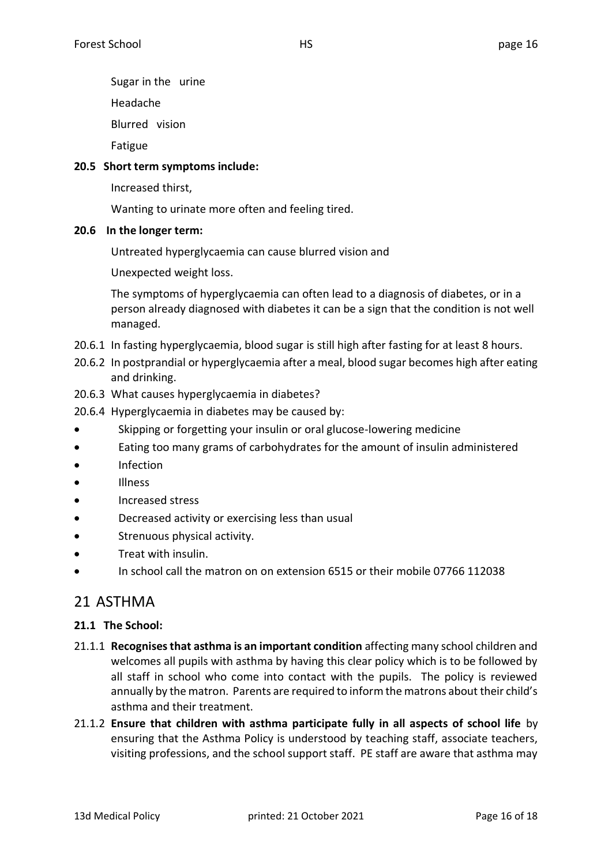Sugar in the urine

Headache

Blurred vision

Fatigue

### **20.5 Short term symptoms include:**

Increased thirst,

Wanting to urinate more often and feeling tired.

### **20.6 In the longer term:**

Untreated hyperglycaemia can cause blurred vision and

Unexpected weight loss.

The symptoms of hyperglycaemia can often lead to a diagnosis of diabetes, or in a person already diagnosed with diabetes it can be a sign that the condition is not well managed.

- 20.6.1 In fasting hyperglycaemia, blood sugar is still high after fasting for at least 8 hours.
- 20.6.2 In postprandial or hyperglycaemia after a meal, blood sugar becomes high after eating and drinking.
- 20.6.3 What causes hyperglycaemia in diabetes?
- 20.6.4 Hyperglycaemia in diabetes may be caused by:
- Skipping or forgetting your insulin or oral glucose-lowering medicine
- Eating too many grams of carbohydrates for the amount of insulin administered
- Infection
- Illness
- Increased stress
- Decreased activity or exercising less than usual
- Strenuous physical activity.
- Treat with insulin.
- In school call the matron on on extension 6515 or their mobile 07766 112038

# 21 ASTHMA

### **21.1 The School:**

- 21.1.1 **Recognises that asthma is an important condition** affecting many school children and welcomes all pupils with asthma by having this clear policy which is to be followed by all staff in school who come into contact with the pupils. The policy is reviewed annually by the matron. Parents are required to inform the matrons about their child's asthma and their treatment.
- 21.1.2 **Ensure that children with asthma participate fully in all aspects of school life** by ensuring that the Asthma Policy is understood by teaching staff, associate teachers, visiting professions, and the school support staff. PE staff are aware that asthma may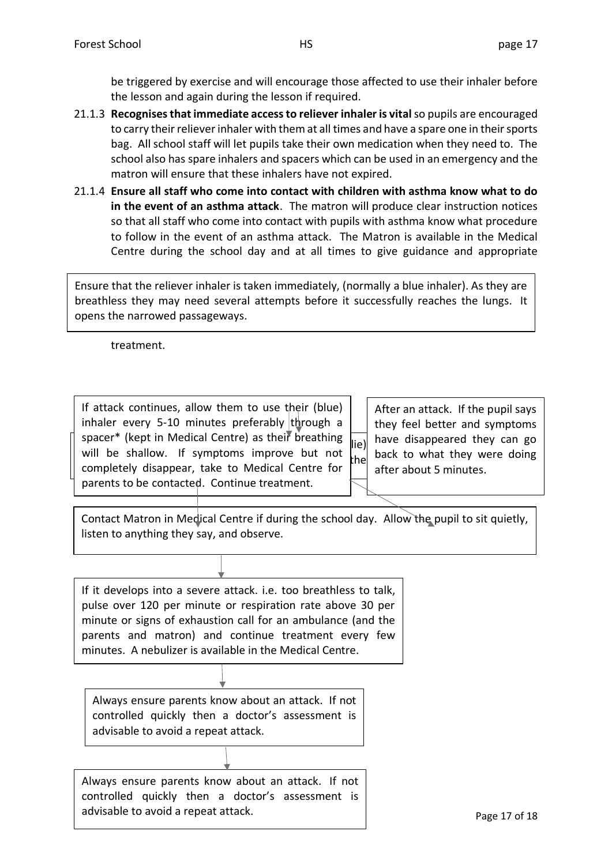be triggered by exercise and will encourage those affected to use their inhaler before the lesson and again during the lesson if required.

- 21.1.3 **Recognises that immediate access to reliever inhaler is vital**so pupils are encouraged to carry their reliever inhaler with them at all times and have a spare one in their sports bag. All school staff will let pupils take their own medication when they need to. The school also has spare inhalers and spacers which can be used in an emergency and the matron will ensure that these inhalers have not expired.
- 21.1.4 **Ensure all staff who come into contact with children with asthma know what to do in the event of an asthma attack**. The matron will produce clear instruction notices so that all staff who come into contact with pupils with asthma know what procedure to follow in the event of an asthma attack. The Matron is available in the Medical Centre during the school day and at all times to give guidance and appropriate

Ensure that the reliever inhaler is taken immediately, (normally a blue inhaler). As they are breathless they may need several attempts before it successfully reaches the lungs. It opens the narrowed passageways.

treatment.

 $\text{Hence}$  (Kepc in wicking centre) as then breathing  $\text{II}(e)$  down and lie) down, dependence supportions in the pupil site of the pupil site of the pupil site of the pupil site of the pupil site of the pupil site of the p  $\frac{1}{2}$  because the tight clothing in  $\frac{1}{2}$  and  $\frac{1}{2}$  because the manipulation of water them a drink of water them a drink of water them a drink of water the second second second second second second second seco If attack continues, allow them to use their (blue) inhaler every 5-10 minutes preferably through a spacer\* (kept in Medical Centre) as their breathing will be shallow. If symptoms improve but not completely disappear, take to Medical Centre for parents to be contacted. Continue treatment.

After an attack. If the pupil says they feel better and symptoms have disappeared they can go back to what they were doing after about 5 minutes.

Contact Matron in Medical Centre if during the school day. Allow the pupil to sit quietly, listen to anything they say, and observe.

If it develops into a severe attack. i.e. too breathless to talk, pulse over 120 per minute or respiration rate above 30 per minute or signs of exhaustion call for an ambulance (and the parents and matron) and continue treatment every few minutes. A nebulizer is available in the Medical Centre.

Always ensure parents know about an attack. If not controlled quickly then a doctor's assessment is advisable to avoid a repeat attack.

advisable to avoid a repeat attack. The same control of the Page 17 of 18 Always ensure parents know about an attack. If not controlled quickly then a doctor's assessment is